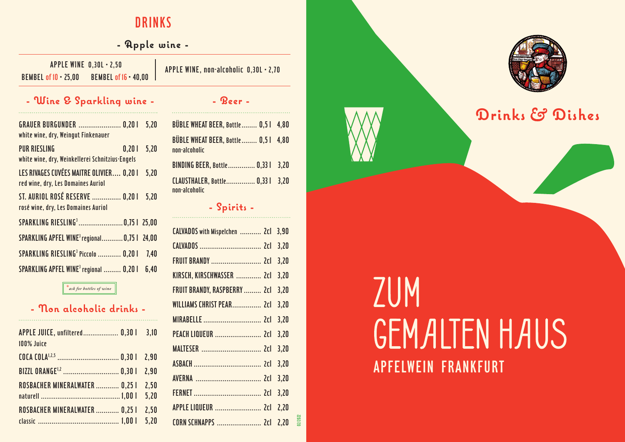# DRINKS

## **- Apple wine -**

BEMBEL of 10 • 25,00 BEMBEL of 16• 40,00 APPLE WINE 0,30L • 2,50 APPLE WINE, non-alcoholic 0,30L • 2,70

## **- Wine & Sparkling wine -**

| <b>GRAUER BURGUNDER  0,201</b><br>white wine, dry, Weingut Finkenauer                | 5,20 |
|--------------------------------------------------------------------------------------|------|
| <b>PUR RIESLING</b><br>0,201<br>.<br>white wine, dry, Weinkellerei Schnitzius-Engels | 5,20 |
| LES RIVAGES CUVÉES MAITRE OLIVIER 0,20 I<br>red wine, dry, Les Domaines Auriol       | 5,20 |
| ST. AURIOL ROSÉ RESERVE  0,20 I<br>rosé wine, dry, Les Domaines Auriol               | 5,20 |
| SPARKLING RIESLING <sup>3</sup> 0,751 25,00                                          |      |
| SPARKLING APFEL WINE <sup>3</sup> regional 0,75   24,00                              |      |
| SPARKLING RIESLING <sup>3</sup> Piccolo  0,20 l                                      | 7,40 |
| SPARKLING APFEL WINE <sup>3</sup> regional  0,20 l                                   | 6,40 |

#### \**ask for bottles of wine*

### **- Non alcoholic drinks -**

| APPLE JUICE, unfiltered 0,30 l<br>100% Juice | 3.10         |
|----------------------------------------------|--------------|
|                                              |              |
|                                              | 2.90         |
| ROSBACHER MINERALWATER  0.25 I               | 2.50<br>5,20 |
| ROSBACHER MINERALWATER  0,25 I               | 2.50<br>5.20 |

| BÜBLE WHEAT BEER, Bottle  0,51 4,80                 |  |
|-----------------------------------------------------|--|
| BÜBLE WHEAT BEER, Bottle 0,51 4,80<br>non-alcoholic |  |
| BINDING BEER, Bottle 0,33   3,20                    |  |
| CLAUSTHALER, Bottle 0,33   3,20<br>non-alcoholic    |  |

**- Beer -**

#### **- Spirits -**

| CALVADOS with Mispelchen  2cl 3,90 |      |         |
|------------------------------------|------|---------|
|                                    | 3,20 |         |
| <b>FRUIT BRANDY</b> 2cl            | 3,20 |         |
| KIRSCH, KIRSCHWASSER  2cl          | 3,20 |         |
| FRUIT BRANDY, RASPBERRY  2cl       | 3,20 |         |
| WILLIAMS CHRIST PEAR 2cl           | 3,20 |         |
|                                    | 3,20 |         |
| PEACH LIQUEUR  2cl                 | 3,20 |         |
|                                    | 3,20 |         |
|                                    | 3,20 |         |
|                                    | 3,20 |         |
|                                    | 3,20 |         |
|                                    | 2,20 |         |
| <b>CORN SCHNAPPS  2cl</b>          | 2.20 | 12/2022 |
|                                    |      |         |



# **Drinks Dishes**

# ZUM **GEMALTEN HAUS** APFELWEIN FRANKFURT